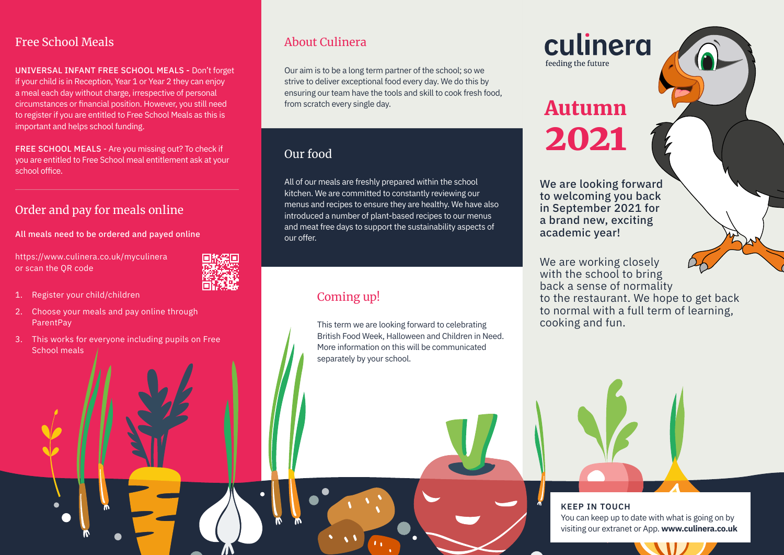#### Free School Meals

UNIVERSAL INFANT FREE SCHOOL MEALS - Don't forget if your child is in Reception, Year 1 or Year 2 they can enjoy a meal each day without charge, irrespective of personal circumstances or financial position. However, you still need to register if you are entitled to Free School Meals as this is important and helps school funding.

FREE SCHOOL MEALS - Are you missing out? To check if you are entitled to Free School meal entitlement ask at your school office.

## Order and pay for meals online

All meals need to be ordered and payed online

https://www.culinera.co.uk/myculinera or scan the QR code



- 1. Register your child/children
- 2. Choose your meals and pay online through ParentPay
- 3. This works for everyone including pupils on Free School meals

### About Culinera

Our aim is to be a long term partner of the school; so we strive to deliver exceptional food every day. We do this by ensuring our team have the tools and skill to cook fresh food, from scratch every single day.

# Our food

All of our meals are freshly prepared within the school kitchen. We are committed to constantly reviewing our menus and recipes to ensure they are healthy. We have also introduced a number of plant-based recipes to our menus and meat free days to support the sustainability aspects of our offer.

# Coming up!

This term we are looking forward to celebrating British Food Week, Halloween and Children in Need. More information on this will be communicated separately by your school.

culinera feeding the future

# Autumn 2021

We are looking forward to welcoming you back in September 2021 for a brand new, exciting academic year!

We are working closely with the school to bring back a sense of normality to the restaurant. We hope to get back to normal with a full term of learning, cooking and fun.

**KEEP IN TOUCH** You can keep up to date with what is going on by visiting our extranet or App. **www.culinera.co.uk**